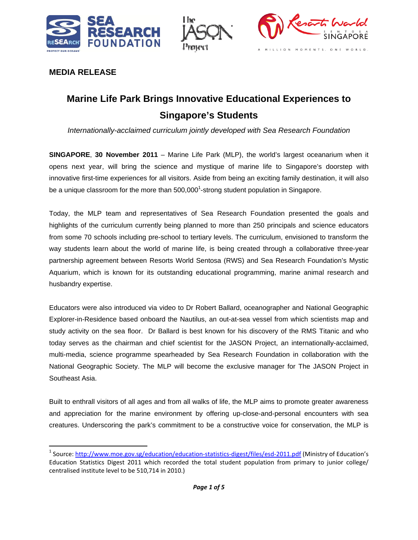





# **MEDIA RELEASE**

# **Marine Life Park Brings Innovative Educational Experiences to Singapore's Students**

*Internationally-acclaimed curriculum jointly developed with Sea Research Foundation* 

**SINGAPORE**, **30 November 2011** – Marine Life Park (MLP), the world's largest oceanarium when it opens next year, will bring the science and mystique of marine life to Singapore's doorstep with innovative first-time experiences for all visitors. Aside from being an exciting family destination, it will also be a unique classroom for the more than  $500,000^1$ -strong student population in Singapore.

Today, the MLP team and representatives of Sea Research Foundation presented the goals and highlights of the curriculum currently being planned to more than 250 principals and science educators from some 70 schools including pre-school to tertiary levels. The curriculum, envisioned to transform the way students learn about the world of marine life, is being created through a collaborative three-year partnership agreement between Resorts World Sentosa (RWS) and Sea Research Foundation's Mystic Aquarium, which is known for its outstanding educational programming, marine animal research and husbandry expertise.

Educators were also introduced via video to Dr Robert Ballard, oceanographer and National Geographic Explorer-in-Residence based onboard the Nautilus, an out-at-sea vessel from which scientists map and study activity on the sea floor. Dr Ballard is best known for his discovery of the RMS Titanic and who today serves as the chairman and chief scientist for the JASON Project, an internationally-acclaimed, multi-media, science programme spearheaded by Sea Research Foundation in collaboration with the National Geographic Society. The MLP will become the exclusive manager for The JASON Project in Southeast Asia.

Built to enthrall visitors of all ages and from all walks of life, the MLP aims to promote greater awareness and appreciation for the marine environment by offering up-close-and-personal encounters with sea creatures. Underscoring the park's commitment to be a constructive voice for conservation, the MLP is

<sup>&</sup>lt;sup>1</sup> Source: http://www.moe.gov.sg/education/education-statistics-digest/files/esd-2011.pdf (Ministry of Education's Education Statistics Digest 2011 which recorded the total student population from primary to junior college/ centralised institute level to be 510,714 in 2010.)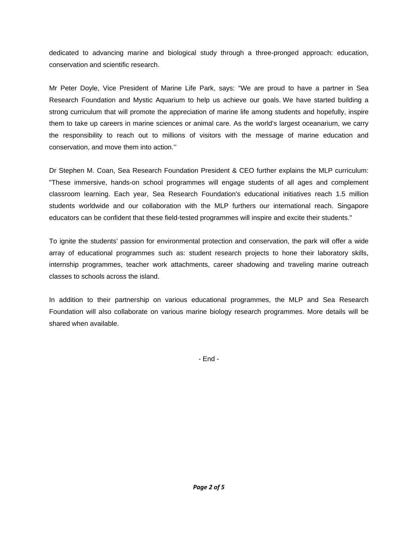dedicated to advancing marine and biological study through a three-pronged approach: education, conservation and scientific research.

Mr Peter Doyle, Vice President of Marine Life Park, says: "We are proud to have a partner in Sea Research Foundation and Mystic Aquarium to help us achieve our goals. We have started building a strong curriculum that will promote the appreciation of marine life among students and hopefully, inspire them to take up careers in marine sciences or animal care. As the world's largest oceanarium, we carry the responsibility to reach out to millions of visitors with the message of marine education and conservation, and move them into action.''

Dr Stephen M. Coan, Sea Research Foundation President & CEO further explains the MLP curriculum: "These immersive, hands-on school programmes will engage students of all ages and complement classroom learning. Each year, Sea Research Foundation's educational initiatives reach 1.5 million students worldwide and our collaboration with the MLP furthers our international reach. Singapore educators can be confident that these field-tested programmes will inspire and excite their students."

To ignite the students' passion for environmental protection and conservation, the park will offer a wide array of educational programmes such as: student research projects to hone their laboratory skills, internship programmes, teacher work attachments, career shadowing and traveling marine outreach classes to schools across the island.

In addition to their partnership on various educational programmes, the MLP and Sea Research Foundation will also collaborate on various marine biology research programmes. More details will be shared when available.

- End -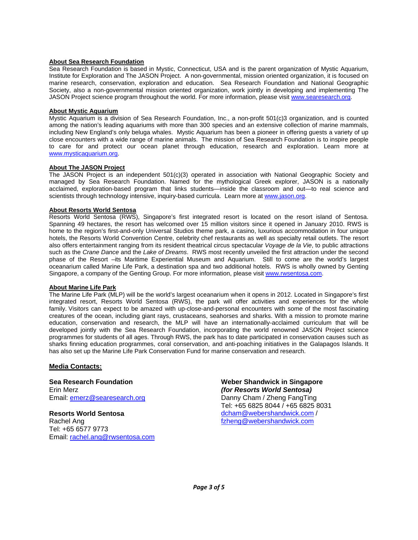### **About Sea Research Foundation**

Sea Research Foundation is based in Mystic, Connecticut, USA and is the parent organization of Mystic Aquarium, Institute for Exploration and The JASON Project. A non-governmental, mission oriented organization, it is focused on marine research, conservation, exploration and education. Sea Research Foundation and National Geographic Society, also a non-governmental mission oriented organization, work jointly in developing and implementing The JASON Project science program throughout the world. For more information, please visit www.searesearch.org.

#### **About Mystic Aquarium**

Mystic Aquarium is a division of Sea Research Foundation, Inc., a non-profit 501(c)3 organization, and is counted among the nation's leading aquariums with more than 300 species and an extensive collection of marine mammals, including New England's only beluga whales. Mystic Aquarium has been a pioneer in offering guests a variety of up close encounters with a wide range of marine animals. The mission of Sea Research Foundation is to inspire people to care for and protect our ocean planet through education, research and exploration. Learn more at www.mysticaquarium.org.

#### **About The JASON Project**

The JASON Project is an independent 501(c)(3) operated in association with National Geographic Society and managed by Sea Research Foundation. Named for the mythological Greek explorer, JASON is a nationally acclaimed, exploration-based program that links students—inside the classroom and out—to real science and scientists through technology intensive, inquiry-based curricula. Learn more at www.jason.org.

#### **About Resorts World Sentosa**

Resorts World Sentosa (RWS), Singapore's first integrated resort is located on the resort island of Sentosa. Spanning 49 hectares, the resort has welcomed over 15 million visitors since it opened in January 2010. RWS is home to the region's first-and-only Universal Studios theme park, a casino, luxurious accommodation in four unique hotels, the Resorts World Convention Centre, celebrity chef restaurants as well as specialty retail outlets. The resort also offers entertainment ranging from its resident theatrical circus spectacular *Voyage de la Vie*, to public attractions such as the *Crane Dance* and the *Lake of Dreams*. RWS most recently unveiled the first attraction under the second phase of the Resort –its Maritime Experiential Museum and Aquarium. Still to come are the world's largest oceanarium called Marine Life Park, a destination spa and two additional hotels. RWS is wholly owned by Genting Singapore, a company of the Genting Group. For more information, please visit www.rwsentosa.com.

#### **About Marine Life Park**

The Marine Life Park (MLP) will be the world's largest oceanarium when it opens in 2012. Located in Singapore's first integrated resort, Resorts World Sentosa (RWS), the park will offer activities and experiences for the whole family. Visitors can expect to be amazed with up-close-and-personal encounters with some of the most fascinating creatures of the ocean, including giant rays, crustaceans, seahorses and sharks. With a mission to promote marine education, conservation and research, the MLP will have an internationally-acclaimed curriculum that will be developed jointly with the Sea Research Foundation, incorporating the world renowned JASON Project science programmes for students of all ages. Through RWS, the park has to date participated in conservation causes such as sharks finning education programmes, coral conservation, and anti-poaching initiatives in the Galapagos Islands. It has also set up the Marine Life Park Conservation Fund for marine conservation and research.

#### **Media Contacts:**

**Sea Research Foundation**  Erin Merz Email: emerz@searesearch.org

**Resorts World Sentosa**  Rachel Ang Tel: +65 6577 9773 Email: rachel.ang@rwsentosa.com

**Weber Shandwick in Singapore**  *(for Resorts World Sentosa)*  Danny Cham / Zheng FangTing Tel: +65 6825 8044 / +65 6825 8031 dcham@webershandwick.com / fzheng@webershandwick.com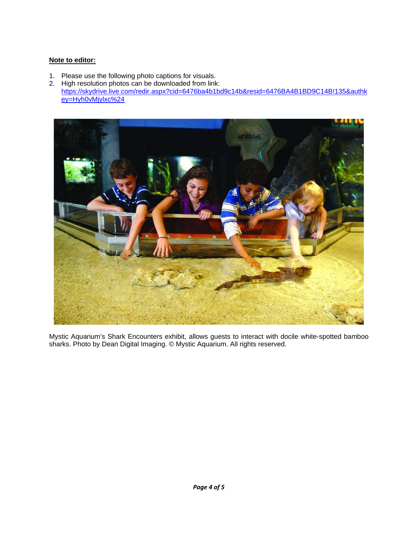## **Note to editor:**

- 1. Please use the following photo captions for visuals.
- 2. High resolution photos can be downloaded from link: https://skydrive.live.com/redir.aspx?cid=6476ba4b1bd9c14b&resid=6476BA4B1BD9C14B!135&authk ey=Hyh0vMjylxc%24



Mystic Aquarium's Shark Encounters exhibit, allows guests to interact with docile white-spotted bamboo sharks. Photo by Dean Digital Imaging. © Mystic Aquarium. All rights reserved.